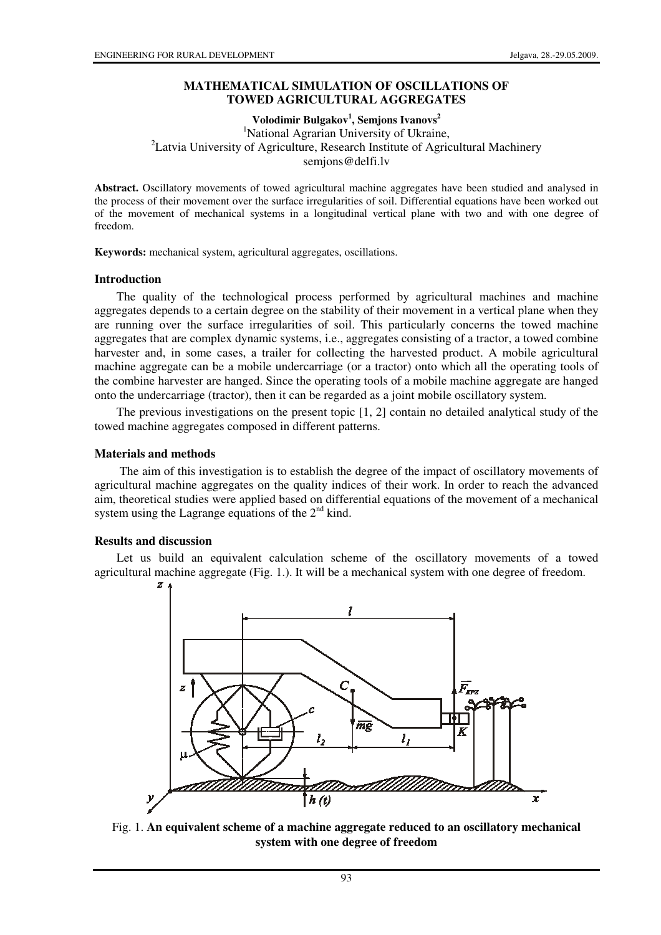## **MATHEMATICAL SIMULATION OF OSCILLATIONS OF TOWED AGRICULTURAL AGGREGATES**

**Volodimir Bulgakov<sup>1</sup> , Semjons Ivanovs<sup>2</sup>** 

<sup>1</sup>National Agrarian University of Ukraine, <sup>2</sup> Latvia University of Agriculture, Research Institute of Agricultural Machinery semjons@delfi.lv

**Abstract.** Oscillatory movements of towed agricultural machine aggregates have been studied and analysed in the process of their movement over the surface irregularities of soil. Differential equations have been worked out of the movement of mechanical systems in a longitudinal vertical plane with two and with one degree of freedom.

**Keywords:** mechanical system, agricultural aggregates, oscillations.

#### **Introduction**

The quality of the technological process performed by agricultural machines and machine aggregates depends to a certain degree on the stability of their movement in a vertical plane when they are running over the surface irregularities of soil. This particularly concerns the towed machine aggregates that are complex dynamic systems, i.e., aggregates consisting of a tractor, a towed combine harvester and, in some cases, a trailer for collecting the harvested product. A mobile agricultural machine aggregate can be a mobile undercarriage (or a tractor) onto which all the operating tools of the combine harvester are hanged. Since the operating tools of a mobile machine aggregate are hanged onto the undercarriage (tractor), then it can be regarded as a joint mobile oscillatory system.

The previous investigations on the present topic [1, 2] contain no detailed analytical study of the towed machine aggregates composed in different patterns.

### **Materials and methods**

The aim of this investigation is to establish the degree of the impact of oscillatory movements of agricultural machine aggregates on the quality indices of their work. In order to reach the advanced aim, theoretical studies were applied based on differential equations of the movement of a mechanical system using the Lagrange equations of the  $2<sup>nd</sup>$  kind.

#### **Results and discussion**

Let us build an equivalent calculation scheme of the oscillatory movements of a towed agricultural machine aggregate (Fig. 1.). It will be a mechanical system with one degree of freedom.



Fig. 1. **An equivalent scheme of a machine aggregate reduced to an oscillatory mechanical system with one degree of freedom**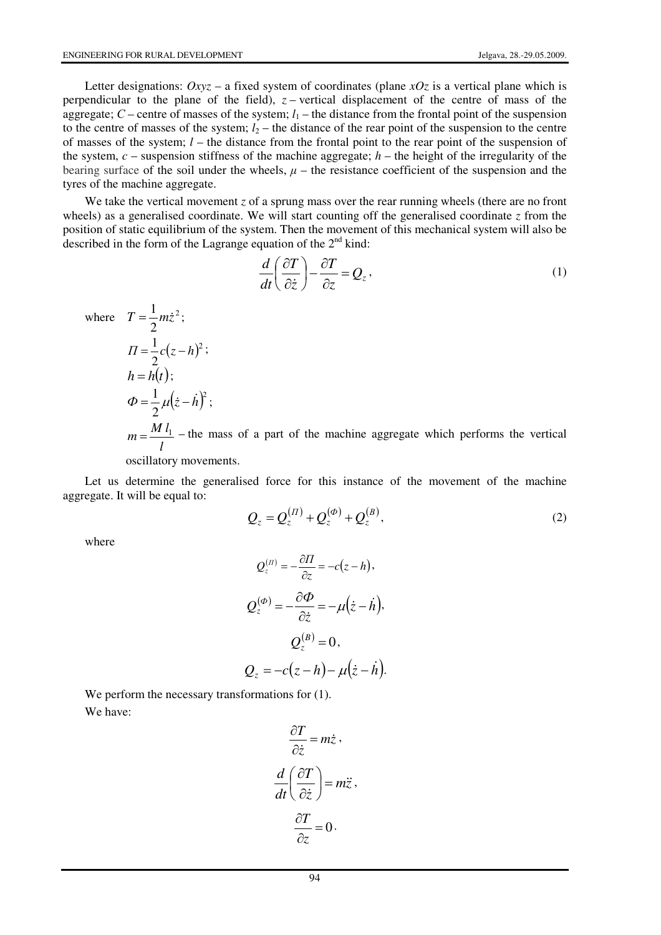Letter designations:  $Oxyz - a$  fixed system of coordinates (plane *xOz* is a vertical plane which is perpendicular to the plane of the field),  $z$  – vertical displacement of the centre of mass of the aggregate;  $C$  – centre of masses of the system;  $l_1$  – the distance from the frontal point of the suspension to the centre of masses of the system;  $l_2$  – the distance of the rear point of the suspension to the centre of masses of the system; *l* – the distance from the frontal point to the rear point of the suspension of the system,  $c$  – suspension stiffness of the machine aggregate;  $h$  – the height of the irregularity of the bearing surface of the soil under the wheels,  $\mu$  – the resistance coefficient of the suspension and the tyres of the machine aggregate.

We take the vertical movement *z* of a sprung mass over the rear running wheels (there are no front wheels) as a generalised coordinate. We will start counting off the generalised coordinate *z* from the position of static equilibrium of the system. Then the movement of this mechanical system will also be described in the form of the Lagrange equation of the  $2<sup>nd</sup>$  kind:

$$
\frac{d}{dt}\left(\frac{\partial T}{\partial \dot{z}}\right) - \frac{\partial T}{\partial z} = Q_z, \qquad (1)
$$

where 
$$
T = \frac{1}{2}m\dot{z}^2
$$
;  
\n
$$
\Pi = \frac{1}{2}c(z-h)^2;
$$
\n
$$
h = h(t);
$$
\n
$$
\Phi = \frac{1}{2}\mu(\dot{z}-\dot{h})^2;
$$
\n
$$
m = \frac{M l_1}{l} - \text{the mass of a part of the machine aggregate which performs the vertical oscillatory movements.}
$$

Let us determine the generalised force for this instance of the movement of the machine aggregate. It will be equal to:

$$
Q_z = Q_z^{(II)} + Q_z^{(\phi)} + Q_z^{(B)},
$$
\n(2)

where

$$
Q_z^{(n)} = -\frac{\partial H}{\partial z} = -c(z - h),
$$
  
\n
$$
Q_z^{(\phi)} = -\frac{\partial \Phi}{\partial \dot{z}} = -\mu(\dot{z} - \dot{h}),
$$
  
\n
$$
Q_z^{(B)} = 0,
$$
  
\n
$$
Q_z = -c(z - h) - \mu(\dot{z} - \dot{h}).
$$

We perform the necessary transformations for  $(1)$ . We have:

$$
\frac{\partial T}{\partial \dot{z}} = m \dot{z},
$$

$$
\frac{d}{dt} \left( \frac{\partial T}{\partial \dot{z}} \right) = m \ddot{z},
$$

$$
\frac{\partial T}{\partial z} = 0.
$$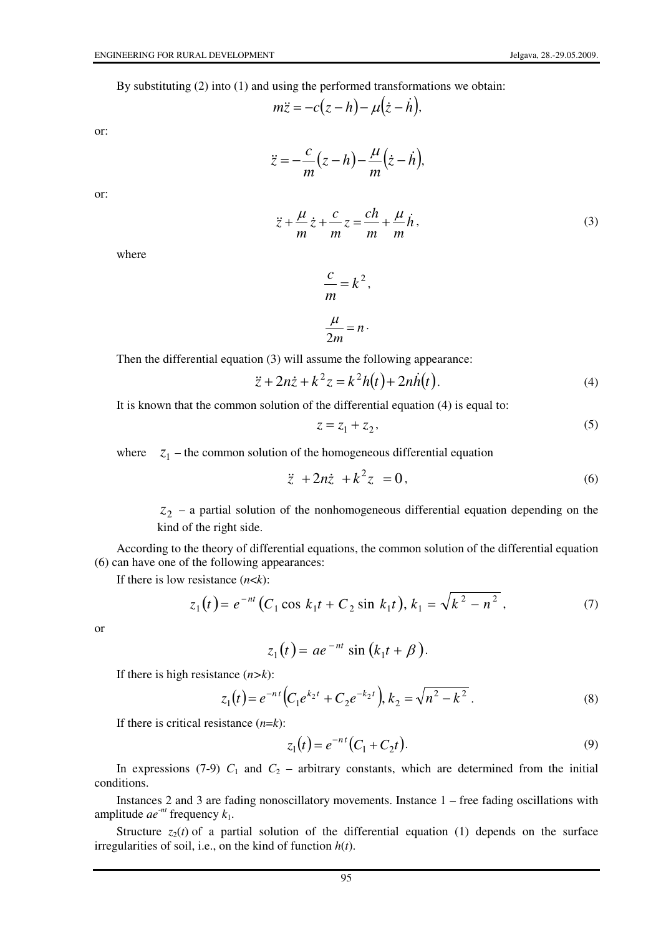By substituting (2) into (1) and using the performed transformations we obtain:

$$
m\ddot{z} = -c(z-h) - \mu(\dot{z}-\dot{h}),
$$

or:

$$
\ddot{z} = -\frac{c}{m}(z-h) - \frac{\mu}{m}(\dot{z}-\dot{h}),
$$

or:

$$
\ddot{z} + \frac{\mu}{m}\dot{z} + \frac{c}{m}z = \frac{ch}{m} + \frac{\mu}{m}\dot{h},\tag{3}
$$

where

$$
\frac{c}{m} = k^2,
$$
  

$$
\frac{\mu}{2m} = n.
$$

Then the differential equation (3) will assume the following appearance:

$$
\ddot{z} + 2n\dot{z} + k^2 z = k^2 h(t) + 2n\dot{h}(t).
$$
 (4)

It is known that the common solution of the differential equation (4) is equal to:

$$
z = z_1 + z_2,\tag{5}
$$

where  $z_1$  – the common solution of the homogeneous differential equation

$$
\ddot{z} + 2n\dot{z} + k^2 z = 0, \qquad (6)
$$

2 *z* – a partial solution of the nonhomogeneous differential equation depending on the kind of the right side.

According to the theory of differential equations, the common solution of the differential equation (6) can have one of the following appearances:

If there is low resistance (*n*<*k*):

$$
z_1(t) = e^{-nt} (C_1 \cos k_1 t + C_2 \sin k_1 t), k_1 = \sqrt{k^2 - n^2},
$$
 (7)

or

$$
z_1(t) = ae^{-nt}\sin\left(k_1t + \beta\right).
$$

If there is high resistance (*n>k*):

$$
z_1(t) = e^{-nt} \left( C_1 e^{k_2 t} + C_2 e^{-k_2 t} \right), k_2 = \sqrt{n^2 - k^2} \ . \tag{8}
$$

If there is critical resistance (*n*=*k*):

$$
z_1(t) = e^{-nt} (C_1 + C_2 t).
$$
 (9)

In expressions (7-9)  $C_1$  and  $C_2$  – arbitrary constants, which are determined from the initial conditions.

Instances 2 and 3 are fading nonoscillatory movements. Instance 1 – free fading oscillations with amplitude  $ae^{-nt}$  frequency  $k_1$ .

Structure  $z_2(t)$  of a partial solution of the differential equation (1) depends on the surface irregularities of soil, i.e., on the kind of function *h*(*t*).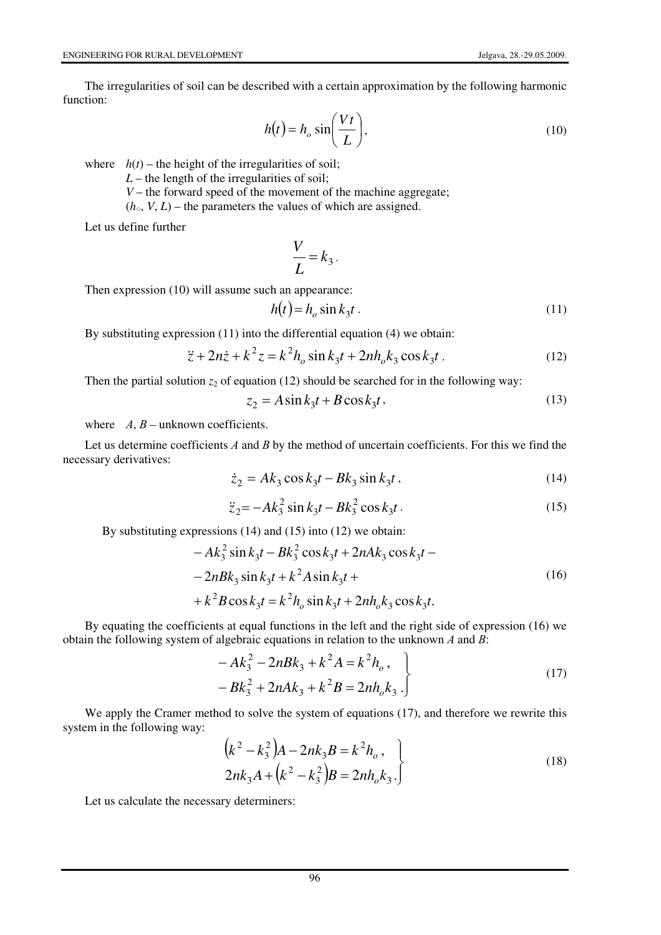The irregularities of soil can be described with a certain approximation by the following harmonic function:

$$
h(t) = h_o \sin\left(\frac{Vt}{L}\right),\tag{10}
$$

where  $h(t)$  – the height of the irregularities of soil;

 $L$  – the length of the irregularities of soil;

*V* – the forward speed of the movement of the machine aggregate;

 $(h_{\circ}, V, L)$  – the parameters the values of which are assigned.

Let us define further

$$
\frac{V}{L} = k_3.
$$

Then expression (10) will assume such an appearance:

$$
h(t) = h_o \sin k_3 t \tag{11}
$$

By substituting expression (11) into the differential equation (4) we obtain:

$$
\ddot{z} + 2n\dot{z} + k^2 z = k^2 h_o \sin k_3 t + 2n h_o k_3 \cos k_3 t \,. \tag{12}
$$

Then the partial solution  $z_2$  of equation (12) should be searched for in the following way:

$$
z_2 = A\sin k_3 t + B\cos k_3 t,\tag{13}
$$

where  $A, B$  – unknown coefficients.

Let us determine coefficients A and B by the method of uncertain coefficients. For this we find the necessary derivatives:

$$
\dot{z}_2 = Ak_3 \cos k_3 t - Bk_3 \sin k_3 t, \qquad (14)
$$

$$
\ddot{z}_2 = -Ak_3^2 \sin k_3 t - Bk_3^2 \cos k_3 t \,. \tag{15}
$$

By substituting expressions (14) and (15) into (12) we obtain:

$$
-Ak_3^2 \sin k_3t - Bk_3^2 \cos k_3t + 2nAk_3 \cos k_3t -
$$
  

$$
-2nBk_3 \sin k_3t + k^2A \sin k_3t +
$$
  

$$
+k^2B \cos k_3t = k^2h_o \sin k_3t + 2nh_ok_3 \cos k_3t.
$$
 (16)

By equating the coefficients at equal functions in the left and the right side of expression (16) we obtain the following system of algebraic equations in relation to the unknown  $A$  and  $B$ :

$$
-Ak_3^2 - 2nBk_3 + k^2A = k^2h_o,
$$
  

$$
-Bk_3^2 + 2nAk_3 + k^2B = 2nh_ok_3.
$$
 (17)

We apply the Cramer method to solve the system of equations (17), and therefore we rewrite this system in the following way:

$$
\left(k^{2} - k_{3}^{2}\right)A - 2nk_{3}B = k^{2}h_{o},
$$
  
\n
$$
2nk_{3}A + \left(k^{2} - k_{3}^{2}\right)B = 2nh_{o}k_{3}.
$$
\n(18)

Let us calculate the necessary determiners: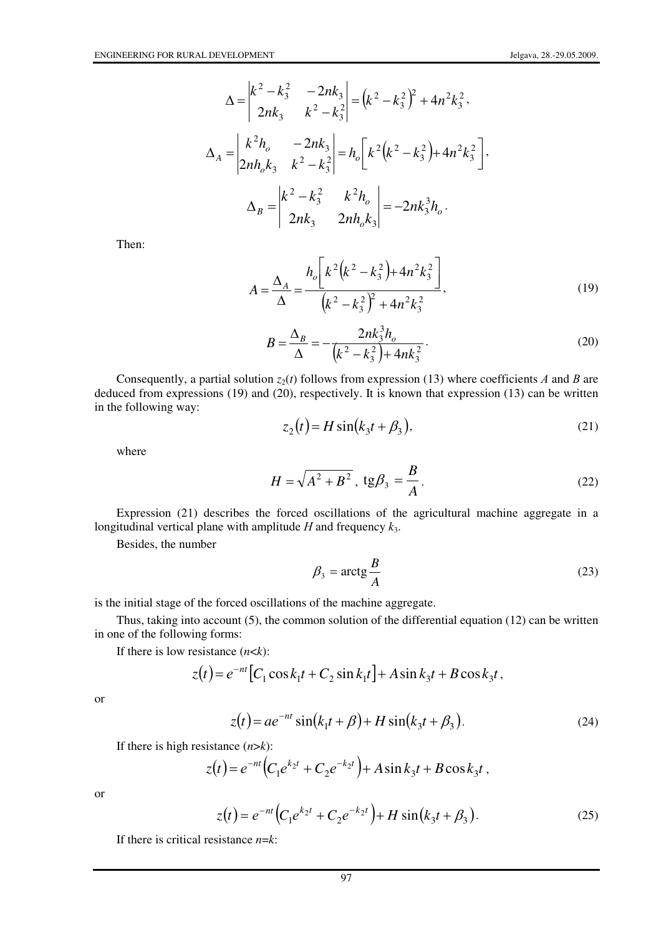$$
\Delta = \begin{vmatrix} k^2 - k_3^2 & -2nk_3 \\ 2nk_3 & k^2 - k_3^2 \end{vmatrix} = (k^2 - k_3^2)^2 + 4n^2k_3^2,
$$
  

$$
\Delta_A = \begin{vmatrix} k^2h_o & -2nk_3 \\ 2nh_ok_3 & k^2 - k_3^2 \end{vmatrix} = h_o \left[ k^2(k^2 - k_3^2) + 4n^2k_3^2 \right],
$$
  

$$
\Delta_B = \begin{vmatrix} k^2 - k_3^2 & k^2h_o \\ 2nk_3 & 2nh_ok_3 \end{vmatrix} = -2nk_3^3h_o.
$$

Then:

$$
A = \frac{\Delta_A}{\Delta} = \frac{h_o \left[ k^2 \left( k^2 - k_3^2 \right) + 4n^2 k_3^2 \right]}{\left( k^2 - k_3^2 \right)^2 + 4n^2 k_3^2},
$$
\n(19)

$$
B = \frac{\Delta_B}{\Delta} = -\frac{2nk_3^3h_o}{(k^2 - k_3^2) + 4nk_3^2}.
$$
 (20)

Consequently, a partial solution  $z_2(t)$  follows from expression (13) where coefficients A and B are deduced from expressions (19) and (20), respectively. It is known that expression (13) can be written in the following way:

$$
z_2(t) = H\sin(k_3t + \beta_3),\tag{21}
$$

where

$$
H = \sqrt{A^2 + B^2}, \text{tg}\beta_3 = \frac{B}{A}.
$$
 (22)

Expression (21) describes the forced oscillations of the agricultural machine aggregate in a longitudinal vertical plane with amplitude Н and frequency *k*3.

Besides, the number

$$
\beta_3 = \arctg \frac{B}{A} \tag{23}
$$

is the initial stage of the forced oscillations of the machine aggregate.

Thus, taking into account (5), the common solution of the differential equation (12) can be written in one of the following forms:

If there is low resistance  $(n \le k)$ :

$$
z(t) = e^{-nt} [C_1 \cos k_1 t + C_2 \sin k_1 t] + A \sin k_3 t + B \cos k_3 t,
$$

$$
\overline{\text{or}}
$$

$$
z(t) = ae^{-nt} \sin(k_1 t + \beta) + H \sin(k_3 t + \beta_3).
$$
 (24)

If there is high resistance  $(n > k)$ :

$$
z(t) = e^{-nt} \Big( C_1 e^{k_2 t} + C_2 e^{-k_2 t} \Big) + A \sin k_3 t + B \cos k_3 t \,,
$$

or

$$
z(t) = e^{-nt} \left( C_1 e^{k_2 t} + C_2 e^{-k_2 t} \right) + H \sin(k_3 t + \beta_3).
$$
 (25)

If there is critical resistance *n*=*k*: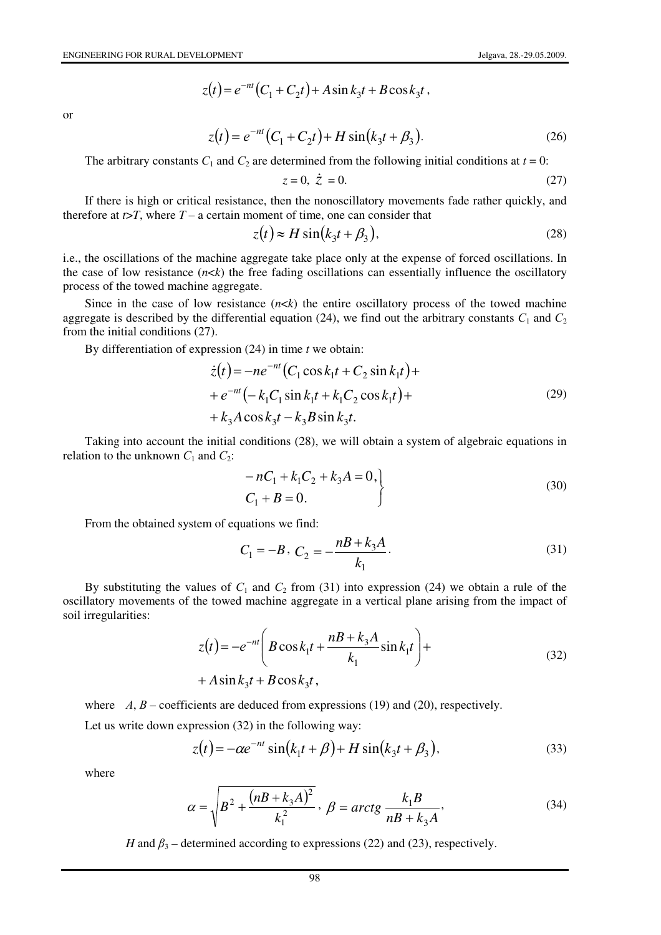$$
z(t) = e^{-nt}(C_1 + C_2t) + A\sin k_3t + B\cos k_3t,
$$

or

$$
z(t) = e^{-nt} (C_1 + C_2 t) + H \sin(k_3 t + \beta_3).
$$
 (26)

The arbitrary constants  $C_1$  and  $C_2$  are determined from the following initial conditions at  $t = 0$ :

$$
z = 0, \ \dot{z} = 0. \tag{27}
$$

If there is high or critical resistance, then the nonoscillatory movements fade rather quickly, and therefore at  $t > T$ , where  $T - a$  certain moment of time, one can consider that

$$
z(t) \approx H \sin(k_3 t + \beta_3),\tag{28}
$$

i.e., the oscillations of the machine aggregate take place only at the expense of forced oscillations. In the case of low resistance  $(n \lt k)$  the free fading oscillations can essentially influence the oscillatory process of the towed machine aggregate.

Since in the case of low resistance  $(n \lt k)$  the entire oscillatory process of the towed machine aggregate is described by the differential equation (24), we find out the arbitrary constants  $C_1$  and  $C_2$ from the initial conditions (27).

By differentiation of expression (24) in time *t* we obtain:

$$
\dot{z}(t) = -ne^{-nt} (C_1 \cos k_1 t + C_2 \sin k_1 t) ++ e^{-nt} (-k_1 C_1 \sin k_1 t + k_1 C_2 \cos k_1 t) ++ k_3 A \cos k_3 t - k_3 B \sin k_3 t.
$$
\n(29)

Taking into account the initial conditions (28), we will obtain a system of algebraic equations in relation to the unknown  $C_1$  and  $C_2$ :

$$
-nC_1 + k_1C_2 + k_3A = 0,
$$
  
\n
$$
C_1 + B = 0.
$$
 (30)

From the obtained system of equations we find:

$$
C_1 = -B, C_2 = -\frac{nB + k_3A}{k_1}.
$$
\n(31)

By substituting the values of  $C_1$  and  $C_2$  from (31) into expression (24) we obtain a rule of the oscillatory movements of the towed machine aggregate in a vertical plane arising from the impact of soil irregularities:

$$
z(t) = -e^{-nt} \left( B \cos k_1 t + \frac{nB + k_3 A}{k_1} \sin k_1 t \right) +
$$
  
+  $A \sin k_3 t + B \cos k_3 t$ , (32)

where  $A, B$  – coefficients are deduced from expressions (19) and (20), respectively.

Let us write down expression (32) in the following way:

$$
z(t) = -\alpha e^{-nt} \sin(k_1 t + \beta) + H \sin(k_3 t + \beta_3),
$$
 (33)

where

$$
\alpha = \sqrt{B^2 + \frac{(n + k_3 A)^2}{k_1^2}}, \ \beta = \arctg \frac{k_1 B}{n + k_3 A},\tag{34}
$$

*H* and  $\beta_3$  – determined according to expressions (22) and (23), respectively.